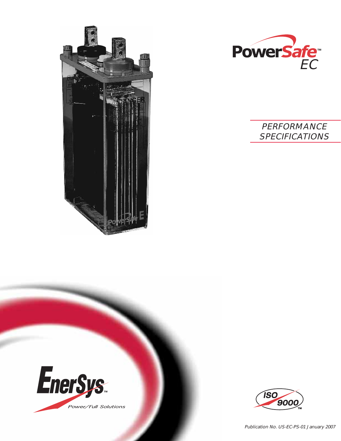



# **PERFORMANCE** SPECIFICATIONS





Publication No. US-EC-PS-01 January 2007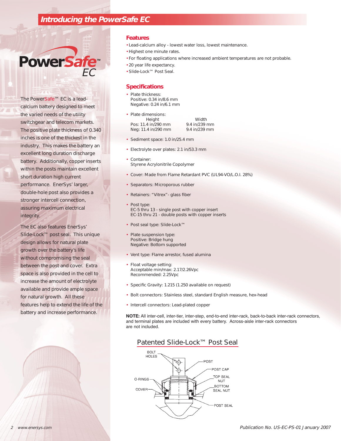## **Introducing the PowerSafe EC**

# **PowerSafe** EC

The PowerSafe™ EC is a leadcalcium battery designed to meet the varied needs of the utility switchgear and telecom markets. The positive plate thickness of 0.340 inches is one of the thickest in the industry. This makes the battery an excellent long duration discharge battery. Additionally, copper inserts within the posts maintain excellent short duration high current performance. EnerSys' larger, double-hole post also provides a stronger intercell connection, assuring maximum electrical integrity.

The EC also features EnerSys' Slide-Lock™ post seal. This unique design allows for natural plate growth over the battery's life without compromising the seal between the post and cover. Extra space is also provided in the cell to increase the amount of electrolyte available and provide ample space for natural growth. All these features help to extend the life of the battery and increase performance.

#### **Features**

- Lead-calcium alloy lowest water loss, lowest maintenance.
- Highest one minute rates.
- For floating applications where increased ambient temperatures are not probable.
- 20 year life expectancy.
- Slide-Lock™ Post Seal.

#### **Specifications**

- Plate thickness: Positive: 0.34 in/8.6 mm Negative: 0.24 in/6.1 mm
- Plate dimensions: Height Width Pos: 11.4 in/290 mm 9.4 in/239 mm Neg: 11.4 in/290 mm 9.4 in/239 mm
	-
- Sediment space: 1.0 in/25.4 mm
- Electrolyte over plates: 2.1 in/53.3 mm
- Container: Styrene Acrylonitrile Copolymer
- Cover: Made from Flame Retardant PVC (UL94-VO/L.O.I. 28%)
- Separators: Microporous rubber
- Retainers: "Vitrex"- glass fiber
- Post type: EC-5 thru 13 - single post with copper insert EC-15 thru 21 - double posts with copper inserts
- Post seal type: Slide-Lock™
- Plate suspension type: Positive: Bridge hung Negative: Bottom supported
- Vent type: Flame arrestor, fused alumina
- Float voltage setting: Acceptable min/max: 2.17/2.26Vpc Recommended: 2.25Vpc
- Specific Gravity: 1.215 (1.250 available on request)
- Bolt connectors: Stainless steel, standard English measure, hex-head
- Intercell connectors: Lead-plated copper

**NOTE:** All inter-cell, inter-tier, inter-step, end-to-end inter-rack, back-to-back inter-rack connectors, and terminal plates are included with every battery. Across-aisle inter-rack connectors are not included.

### Patented Slide-Lock™ Post Seal

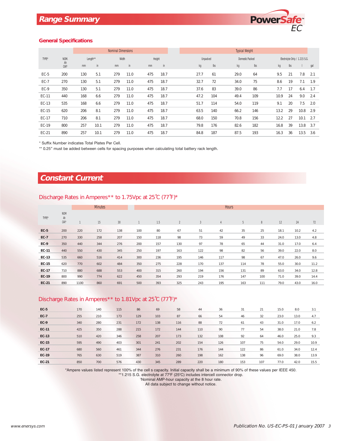

#### **General Specifications**

|             |                                | <b>Nominal Dimensions</b> |      |       |      |     |        |  | <b>Typical Weight</b> |          |                |  |      |                        |      |                               |      |     |
|-------------|--------------------------------|---------------------------|------|-------|------|-----|--------|--|-----------------------|----------|----------------|--|------|------------------------|------|-------------------------------|------|-----|
| TYPE*       | NOM.<br>Ah<br>CAP <sup>1</sup> | Length**                  |      | Width |      |     | Height |  |                       | Unpacked |                |  |      | <b>Domestic Packed</b> |      | Electrolyte Only / 1.215 S.G. |      |     |
|             |                                | mm                        | in   | mm    | in   | mm  | in     |  |                       | kg       | $\mathsf{lbs}$ |  | kg   | $\mathsf{lbs}$         | kg   | lbs                           |      | gal |
| EC-5        | 200                            | 130                       | 5.1  | 279   | 11.0 | 475 | 18.7   |  |                       | 27.7     | 61             |  | 29.0 | 64                     | 9.5  | 21                            | 7.8  | 2.1 |
| <b>EC-7</b> | 270                            | 130                       | 5.1  | 279   | 11.0 | 475 | 18.7   |  |                       | 32.7     | 72             |  | 34.0 | 75                     | 8.6  | 19                            | 7.1  | 1.9 |
| EC-9        | 350                            | 130                       | 5.1  | 279   | 11.0 | 475 | 18.7   |  |                       | 37.6     | 83             |  | 39.0 | 86                     | 7.7  | 17                            | 6.4  | 1.7 |
| EC-11       | 440                            | 168                       | 6.6  | 279   | 11.0 | 475 | 18.7   |  |                       | 47.2     | 104            |  | 49.4 | 109                    | 10.9 | 24                            | 9.0  | 2.4 |
| EC-13       | 535                            | 168                       | 6.6  | 279   | 11.0 | 475 | 18.7   |  |                       | 51.7     | 114            |  | 54.0 | 119                    | 9.1  | 20                            | 7.5  | 2.0 |
| EC-15       | 620                            | 206                       | 8.1  | 279   | 11.0 | 475 | 18.7   |  |                       | 63.5     | 140            |  | 66.2 | 146                    | 13.2 | 29                            | 10.8 | 2.9 |
| EC-17       | 710                            | 206                       | 8.1  | 279   | 11.0 | 475 | 18.7   |  |                       | 68.0     | 150            |  | 70.8 | 156                    | 12.2 | 27                            | 10.1 | 2.7 |
| EC-19       | 800                            | 257                       | 10.1 | 279   | 11.0 | 475 | 18.7   |  |                       | 79.8     | 176            |  | 82.6 | 182                    | 16.8 | 39                            | 13.8 | 3.7 |
| EC-21       | 890                            | 257                       | 10.1 | 279   | 11.0 | 475 | 18.7   |  |                       | 84.8     | 187            |  | 87.5 | 193                    | 16.3 | 36                            | 13.5 | 3.6 |

\* Suffix Number indicates Total Plates Per Cell.

\*\* 0.25" must be added between cells for spacing purposes when calculating total battery rack length.

## **Constant Current**

#### Discharge Rates in Amperes\*\* to 1.75Vpc at 25˚C (77˚F)\*

|             |                                      |              | <b>Minutes</b> |     |              | <b>Hours</b> |                |              |                |     |     |      |      |      |  |
|-------------|--------------------------------------|--------------|----------------|-----|--------------|--------------|----------------|--------------|----------------|-----|-----|------|------|------|--|
| TYPE*       | <b>NOM</b><br>Ah<br>CAP <sup>1</sup> | $\mathbf{1}$ | 15             | 30  | $\mathbf{1}$ | 1.5          | $\overline{2}$ | $\mathbf{3}$ | $\overline{4}$ | 5   | 8   | 12   | 24   | 72   |  |
| <b>EC-5</b> | 200                                  | 220          | 172            | 138 | 100          | 80           | 67             | 51           | 42             | 35  | 25  | 18.1 | 10.2 | 4.2  |  |
| <b>EC-7</b> | 270                                  | 330          | 258            | 207 | 150          | 118          | 98             | 73           | 59             | 49  | 33  | 24.0 | 13.0 | 4.8  |  |
| $EC-9$      | 350                                  | 440          | 344            | 276 | 200          | 157          | 130            | 97           | 78             | 65  | 44  | 31.0 | 17.0 | 6.4  |  |
| EC-11       | 440                                  | 550          | 430            | 345 | 250          | 197          | 163            | 122          | 98             | 82  | 56  | 39.0 | 22.0 | 8.0  |  |
| EC-13       | 535                                  | 660          | 516            | 414 | 300          | 236          | 195            | 146          | 117            | 98  | 67  | 47.0 | 26.0 | 9.6  |  |
| EC-15       | 620                                  | 770          | 602            | 484 | 350          | 275          | 228            | 170          | 137            | 114 | 78  | 55.0 | 30.0 | 11.2 |  |
| EC-17       | 710                                  | 880          | 688            | 553 | 400          | 315          | 260            | 194          | 156            | 131 | 89  | 63.0 | 34.0 | 12.8 |  |
| EC-19       | 800                                  | 990          | 774            | 622 | 450          | 354          | 293            | 219          | 176            | 147 | 100 | 71.0 | 39.0 | 14.4 |  |
| EC-21       | 890                                  | 1100         | 860            | 691 | 500          | 393          | 325            | 243          | 195            | 163 | 111 | 79.0 | 43.0 | 16.0 |  |

## Discharge Rates in Amperes\*\* to 1.81Vpc at 25˚C (77˚F)\*

| <b>EC-5</b>  | 170 | 140 | 115 | 86  | 69  | 58  | 44  | 36  | 31  | 21  | 15.0 | 8.0  | 3.1  |
|--------------|-----|-----|-----|-----|-----|-----|-----|-----|-----|-----|------|------|------|
| <b>EC-7</b>  | 255 | 210 | 173 | 129 | 103 | 87  | 66  | 54  | 46  | 32  | 23.0 | 13.0 | 4.7  |
| <b>EC-9</b>  | 340 | 280 | 231 | 172 | 138 | 116 | 88  | 72  | 61  | 43  | 31.0 | 17.0 | 6.2  |
| EC-11        | 425 | 350 | 288 | 215 | 172 | 144 | 110 | 90  | 77  | 54  | 38.0 | 21.0 | 7.8  |
| EC-13        | 510 | 420 | 346 | 258 | 207 | 173 | 132 | 108 | 92  | 64  | 46.0 | 25.0 | 9.3  |
| EC-15        | 595 | 490 | 403 | 301 | 241 | 202 | 154 | 126 | 107 | 75  | 54.0 | 29.0 | 10.9 |
| EC-17        | 680 | 560 | 461 | 344 | 276 | 231 | 176 | 144 | 122 | 86  | 61.0 | 34.0 | 12.4 |
| EC-19        | 765 | 630 | 519 | 387 | 310 | 260 | 198 | 162 | 138 | 96  | 69.0 | 38.0 | 13.9 |
| <b>EC-21</b> | 850 | 700 | 576 | 430 | 345 | 289 | 220 | 180 | 153 | 107 | 77.0 | 42.0 | 15.5 |

\*Ampere values listed represent 100% of the cell s capacity. Initial capacity shall be a minimum of 90% of these values per IEEE 450.

\*\*1.215 S.G. electrolyte at 77°F (25°C) includes intercell connector drop.

1 Nominal AMP-hour capacity at the 8 hour rate.

All data subject to change without notice.